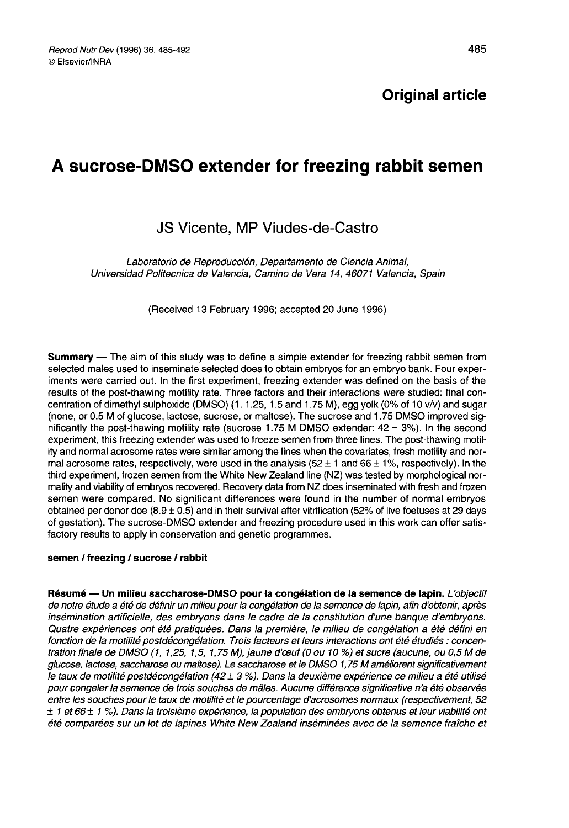# Original article

# A sucrose-DMSO extender for freezing rabbit semen

# JS Vicente, MP Viudes-de-Castro

JS Vicente, MP Viudes-de-Castro<br>Laboratorio de Reproducción, Departamento de Ciencia Animal,<br>dad Politecnica de Valencia, Camino de Vera 14, 46071 Valenci Universidad Politecníca de Valencia, Camino de Vera 14, 46071 Valencia, Spain

(Received 13 February 1996; accepted 20 June 1996)

Summary ― The aim of this study was to define a simple extender for freezing rabbit semen from selected males used to inseminate selected does to obtain embryos for an embryo bank. Four experiments were carried out. In the first experiment, freezing extender was defined on the basis of the results of the post-thawing motility rate. Three factors and their interactions were studied: final concentration of dimethyl sulphoxide (DMSO) (1, 1.25, 1.5 and 1.75 M), egg yolk (0% of 10 v/v) and sugar (none, or 0.5 M of glucose, lactose, sucrose, or maltose). The sucrose and 1.75 DMSO improved significantly the post-thawing motility rate (sucrose 1.75 M DMSO extender:  $42 \pm 3\%$ ). In the second experiment, this freezing extender was used to freeze semen from three lines. The post-thawing motility and normal acrosome rates were similar among the lines when the covariates, fresh motility and normal acrosome rates, respectively, were used in the analysis ( $52 \pm 1$  and  $66 \pm 1\%$ , respectively). In the third experiment, frozen semen from the White New Zealand line (NZ) was tested by morphological normality and viability of embryos recovered. Recovery data from NZ does inseminated with fresh and frozen semen were compared. No significant differences were found in the number of normal embryos obtained per donor doe  $(8.9 \pm 0.5)$  and in their survival after vitrification (52% of live foetuses at 29 days of gestation). The sucrose-DMSO extender and freezing procedure used in this work can offer satisfactory results to apply in conservation and genetic programmes.

#### semen / freezing / sucrose / rabbit

Résumé - Un milieu saccharose-DMSO pour la congélation de la semence de lapin. L'objectif de notre étude a été de définir un milieu pour la congélation de la semence de lapin, afin d'obtenir, après insémination artificielle, des embryons dans le cadre de la constitution d'une banque d'embryons. Quatre expériences ont été pratiquées. Dans la première, le milieu de congélation a été défini en fonction de la motilité postdécongélation. Trois facteurs et leurs interactions ont été étudiés : concentration finale de DMSO (1, 1,25, 1,5, 1,75 M), jaune d'ceuf (0 ou 10 %) et sucre (aucune, ou 0,5 M de glucose, lactose, saccharose ou maltose). Le saccharose et le DMSO 1,75 M améliorent significativement le taux de motilité postdécongélation (42  $\pm$  3 %). Dans la deuxième expérience ce milieu a été utilisé pour congeler la semence de trois souches de mâles. Aucune différence significative n'a été observée entre les souches pour le taux de motilité et le pourcentage d'acrosomes normaux (respectivement, 52  $± 1$  et 66 $± 1$  %). Dans la troisième expérience, la population des embryons obtenus et leur viabilité ont été comparées sur un lot de lapines White New Zealand inséminées avec de la semence fraîche et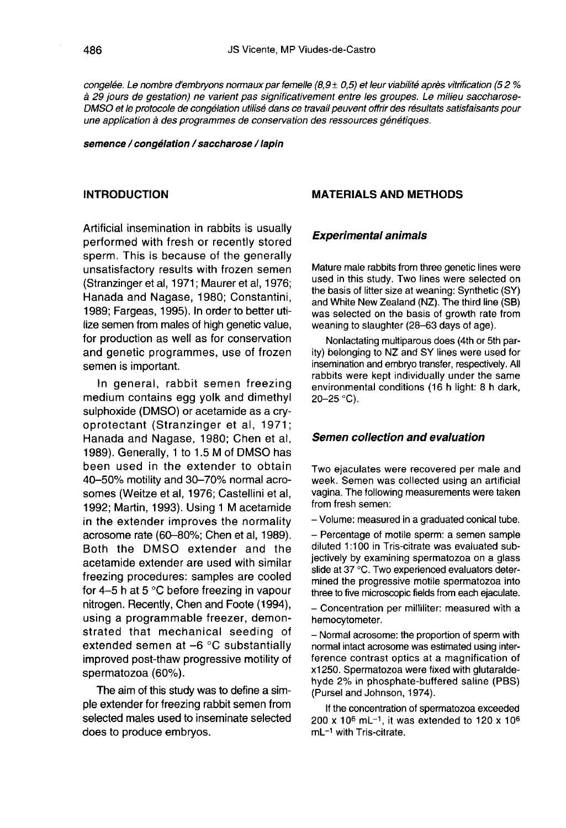congelée. Le nombre d'embryons normaux par femelle  $(8,9 \pm 0,5)$  et leur viabilité après vitrification (52 %) à 29 jours de gestation) ne varient pas significativement entre les groupes. Le milieu saccharose-DMSO et le protocole de congélation utilisé dans ce travail peuvent offrir des résultats satisfaisants pour une application à des programmes de conservation des ressources génétiques.

#### semence / congélation / saccharose / lapin

## **INTRODUCTION**

Artificial insemination in rabbits is usually performed with fresh or recently stored sperm. This is because of the generally unsatisfactory results with frozen semen (Stranzinger et al, 1971; Maurer et al, 1976; Hanada and Nagase, 1980; Constantini, 1989; Fargeas, 1995). In order to better utilize semen from males of high genetic value, for production as well as for conservation and genetic programmes, use of frozen semen is important.

In general, rabbit semen freezing medium contains egg yolk and dimethyl sulphoxide (DMSO) or acetamide as a cryoprotectant (Stranzinger et al, 1971; Hanada and Nagase, 1980; Chen et al, 1989). Generally, 1 to 1.5 M of DMSO has been used in the extender to obtain 40-50% motility and 30-70% normal acrosomes (Weitze et al, 1976; Castellini et al, 1992; Martin, 1993). Using 1 M acetamide in the extender improves the normality acrosome rate (60-80%; Chen et al, 1989). Both the DMSO extender and the acetamide extender are used with similar freezing procedures: samples are cooled for 4-5 h at 5 °C before freezing in vapour nitrogen. Recently, Chen and Foote (1994), using a programmable freezer, demonstrated that mechanical seeding of extended semen at  $-6$  °C substantially improved post-thaw progressive motility of spermatozoa (60%).

The aim of this study was to define a simple extender for freezing rabbit semen from selected males used to inseminate selected does to produce embryos.

### MATERIALS AND METHODS

#### Experimental animals

Mature male rabbits from three genetic lines were used in this study. Two lines were selected on the basis of litter size at weaning: Synthetic (SY) and White New Zealand (NZ). The third line (SB) was selected on the basis of growth rate from weaning to slaughter (28-63 days of age).

Nonlactating multiparous does (4th or 5th parity) belonging to NZ and SY lines were used for insemination and embryo transfer, respectively. All rabbits were kept individually under the same environmental conditions (16 h light: 8 h dark, 20-25 °C).

#### Semen collection and evaluation

Two ejaculates were recovered per male and week. Semen was collected using an artificial vagina. The following measurements were taken from fresh semen:

- Volume: measured in a graduated conical tube.

- Percentage of motile sperm: a semen sample diluted 1:100 in Tris-citrate was evaluated subjectively by examining spermatozoa on a glass slide at 37 °C. Two experienced evaluators determined the progressive motile spermatozoa into three to five microscopic fields from each ejaculate.

- Concentration per milliliter: measured with a hemocytometer.

- Normal acrosome: the proportion of sperm with normal intact acrosome was estimated using interference contrast optics at a magnification of x1250. Spermatozoa were fixed with glutaraldehyde 2% in phosphate-buffered saline (PBS) (Pursel and Johnson, 1974).

If the concentration of spermatozoa exceeded 200 x 10<sup>6</sup> mL<sup>-1</sup>, it was extended to 120 x 10<sup>6</sup> mL<sup>-1</sup> with Tris-citrate.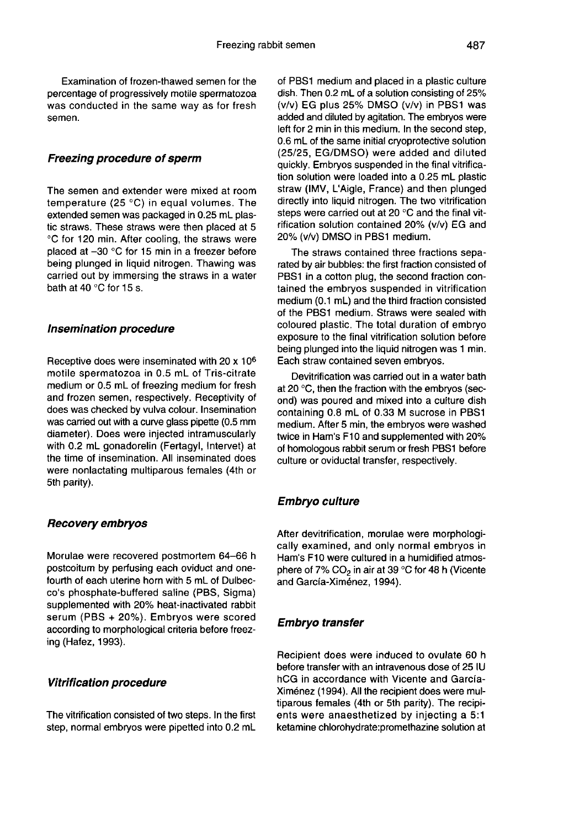Examination of frozen-thawed semen for the percentage of progressively motile spermatozoa was conducted in the same way as for fresh semen.

### Freezing procedure of sperm

The semen and extender were mixed at room temperature (25 °C) in equal volumes. The extended semen was packaged in 0.25 mL plastic straws. These straws were then placed at 5 °C for 120 min. After cooling, the straws were placed at -30 °C for 15 min in a freezer before being plunged in liquid nitrogen. Thawing was carried out by immersing the straws in a water bath at 40 °C for 15 s.

#### Insemination procedure

Receptive does were inseminated with 20 x 106 motile spermatozoa in 0.5 mL of Tris-citrate medium or 0.5 mL of freezing medium for fresh and frozen semen, respectively. Receptivity of does was checked by vulva colour. Insemination was carried out with a curve glass pipette (0.5 mm diameter). Does were injected intramuscularly with 0.2 mL gonadorelin (Fertagyl, Intervet) at the time of insemination. All inseminated does were nonlactating multiparous females (4th or 5th parity).

# Recovery embryos

Morulae were recovered postmortem 64-66 h postcoitum by perfusing each oviduct and onefourth of each uterine horn with 5 mL of Dulbecco's phosphate-buffered saline (PBS, Sigma) supplemented with 20% heat-inactivated rabbit serum (PBS + 20%). Embryos were scored according to morphological criteria before freezing (Hafez, 1993).

## Vitrification procedure

The vitrification consisted of two steps. In the first step, normal embryos were pipetted into 0.2 mL of PBS1 medium and placed in a plastic culture dish. Then 0.2 mL of a solution consisting of 25% (v/v) EG plus 25% DMSO (v/v) in PBS1 was added and diluted by agitation. The embryos were<br>left for 2 min in this medium. In the second step, 0.6 mL of the same initial cryoprotective solution (25/25, EG/DMSO) were added and diluted quickly. Embryos suspended in the final vitrification solution were loaded into a 0.25 mL plastic straw (IMV, L'Aigle, France) and then plunged directly into liquid nitrogen. The two vitrification steps were carried out at 20 °C and the final vitrification solution contained 20% (v/v) EG and 20% (v/v) DMSO in PBS1 medium.

The straws contained three fractions separated by air bubbles: the first fraction consisted of PBS1 in a cotton plug, the second fraction contained the embryos suspended in vitrification medium (0.1 mL) and the third fraction consisted of the PBS1 medium. Straws were sealed with coloured plastic. The total duration of embryo exposure to the final vitrification solution before being plunged into the liquid nitrogen was 1 min. Each straw contained seven embryos.

Devitrification was carried out in a water bath at 20 °C, then the fraction with the embryos (second) was poured and mixed into a culture dish containing 0.8 mL of 0.33 M sucrose in PBS1 medium. After 5 min, the embryos were washed twice in Ham's F10 and supplemented with 20% of homologous rabbit serum or fresh PBS1 before culture or oviductal transfer, respectively.

# Embryo culture

After devitrification, morulae were morphologically examined, and only normal embryos in Ham's F10 were cultured in a humidified atmosphere of 7%  $CO<sub>2</sub>$  in air at 39 °C for 48 h (Vicente and García-Ximénez, 1994).

## Embryo transfer

Recipient does were induced to ovulate 60 h before transfer with an intravenous dose of 25 IU hCG in accordance with Vicente and García-Ximénez (1994). All the recipient does were multiparous females (4th or 5th parity). The recipi ents were anaesthetized by injecting a 5:1 ketamine chlorohydrate:promethazine solution at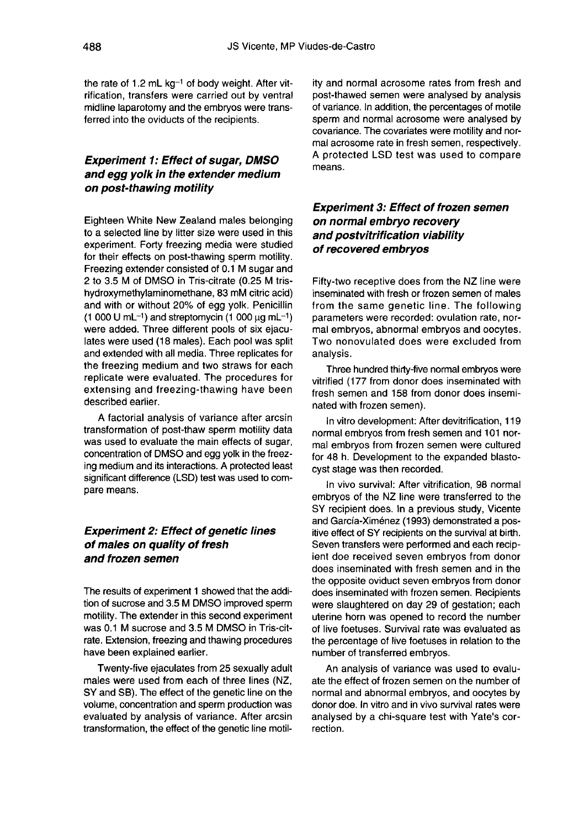the rate of 1.2 mL  $kq^{-1}$  of body weight. After vitrification, transfers were carried out by ventral midline laparotomy and the embryos were transferred into the oviducts of the recipients.

# Experiment 1: Effect of sugar, DMSO and egg yolk in the extender medium on post-thawing motility

Eighteen White New Zealand males belonging to a selected line by litter size were used in this experiment. Forty freezing media were studied for their effects on post-thawing sperm motility. Freezing extender consisted of 0.1 M sugar and 2 to 3.5 M of DMSO in Tris-citrate (0.25 M trishydroxymethylaminomethane, 83 mM citric acid) and with or without 20% of egg yolk. Penicillin  $(1\ 000\ U\ mL^{-1})$  and streptomycin  $(1\ 000\ \mu\text{g}\ mL^{-1})$  were added. Three different pools of six ejaculates were used (18 males). Each pool was split and extended with all media. Three replicates for the freezing medium and two straws for each replicate were evaluated. The procedures for extensing and freezing-thawing have been described earlier.

A factorial analysis of variance after arcsin transformation of post-thaw sperm motility data was used to evaluate the main effects of sugar, concentration of DMSO and egg yolk in the freezing medium and its interactions. A protected least significant difference (LSD) test was used to compare means.

# Experiment 2: Effect of genetic lines of males on quality of fresh and frozen semen

The results of experiment 1 showed that the addition of sucrose and 3.5 M DMSO improved sperm<br>motility. The extender in this second experiment was 0.1 M sucrose and 3.5 M DMSO in Tris-citrate. Extension, freezing and thawing procedures have been explained earlier.

Twenty-five ejaculates from 25 sexually adult males were used from each of three lines (NZ, SY and SB). The effect of the genetic line on the volume, concentration and sperm production was evaluated by analysis of variance. After arcsin transformation, the effect of the genetic line motility and normal acrosome rates from fresh and post-thawed semen were analysed by analysis of variance. In addition, the percentages of motile sperm and normal acrosome were analysed by covariance. The covariates were motility and nor-A protected LSD test was used to compare means.

# Experiment 3: Effect of frozen semen on normal embryo recovery and postvitrification viability of recovered embryos

Fifty-two receptive does from the NZ line were inseminated with fresh or frozen semen of males from the same genetic line. The following parameters were recorded: ovulation rate, normal embryos, abnormal embryos and oocytes. Two nonovulated does were excluded from analysis.

Three hundred thirty-five normal embryos were vitrified (177 from donor does inseminated with fresh semen and 158 from donor does inseminated with frozen semen).

In vitro development: After devitrification, 119 normal embryos from fresh semen and 101 normal embryos from frozen semen were cultured for 48 h. Development to the expanded blastocyst stage was then recorded.

In vivo survival: After vitrification, 98 normal embryos of the NZ line were transferred to the SY recipient does. In a previous study, Vicente and García-Ximénez (1993) demonstrated a positive effect of SY recipients on the survival at birth. Seven transfers were performed and each recipient doe received seven embryos from donor does inseminated with fresh semen and in the the opposite oviduct seven embryos from donor does inseminated with frozen semen. Recipients were slaughtered on day 29 of gestation; each uterine horn was opened to record the number of live foetuses. Survival rate was evaluated as the percentage of live foetuses in relation to the number of transferred embryos.

An analysis of variance was used to evaluate the effect of frozen semen on the number of normal and abnormal embryos, and oocytes by donor doe. In vitro and in vivo survival rates were analysed by a chi-square test with Yate's correction.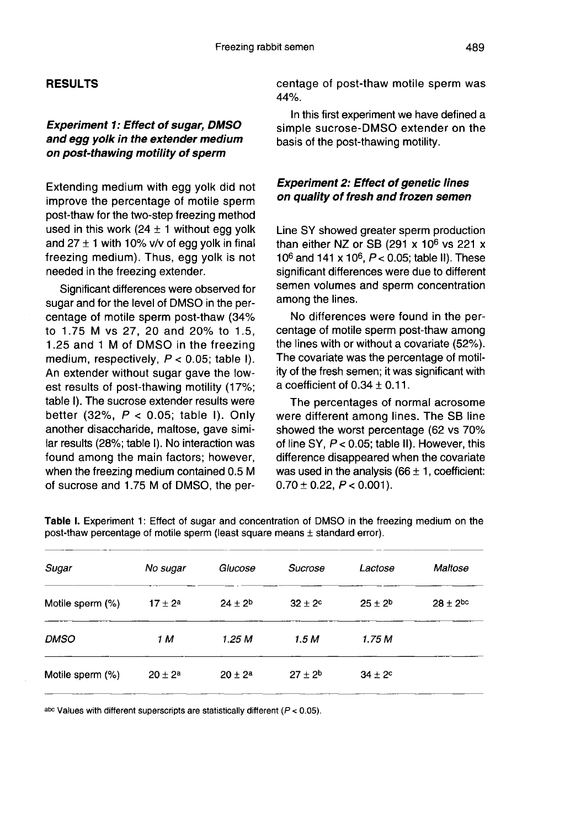# RESULTS

# Experiment 1: Effect of sugar, DMSO and egg yolk in the extender medium on post-thawing motility of sperm

Extending medium with egg yolk did not improve the percentage of motile sperm post-thaw for the two-step freezing method used in this work  $(24 \pm 1)$  without egg yolk and  $27 \pm 1$  with 10% v/v of egg yolk in final freezing medium). Thus, egg yolk is not needed in the freezing extender.

Significant differences were observed for sugar and for the level of DMSO in the percentage of motile sperm post-thaw (34% to 1.75 M vs 27, 20 and 20% to 1.5, 1.25 and 1 M of DMSO in the freezing medium, respectively,  $P < 0.05$ ; table I). An extender without sugar gave the lowest results of post-thawing motility (17%; table I). The sucrose extender results were better (32%,  $P < 0.05$ ; table I). Only another disaccharide, maltose, gave similar results (28%; table I). No interaction was found among the main factors; however, when the freezing medium contained 0.5 M of sucrose and 1.75 M of DMSO, the percentage of post-thaw motile sperm was 44%.

In this first experiment we have defined a simple sucrose-DMSO extender on the basis of the post-thawing motility.

# Experiment 2: Effect of genetic lines on quality of fresh and frozen semen

Line SY showed greater sperm production than either NZ or SB (291 x  $10^6$  vs 221 x 10<sup>6</sup> and 141 x 10<sup>6</sup>,  $P < 0.05$ ; table II). These significant differences were due to different semen volumes and sperm concentration among the lines.

No differences were found in the percentage of motile sperm post-thaw among the lines with or without a covariate (52%). The covariate was the percentage of motility of the fresh semen; it was significant with a coefficient of  $0.34 \pm 0.11$ .

The percentages of normal acrosome were different among lines. The SB line showed the worst percentage (62 vs 70% of line SY, P< 0.05; table II). However, this difference disappeared when the covariate was used in the analysis ( $66 \pm 1$ , coefficient:  $0.70 \pm 0.22$ ,  $P < 0.001$ ).

| Sugar            | No sugar     | Glucose        | Sucrose            | Lactose            | Maltose         |
|------------------|--------------|----------------|--------------------|--------------------|-----------------|
| Motile sperm (%) | $17 + 2^a$   | $24 \pm 2^{b}$ | $32 \pm 2^{\circ}$ | $25 \pm 2^b$       | $28 \pm 2^{bc}$ |
| <b>DMSO</b>      | 1 M          | 1.25 M         | 1.5 M              | 1.75 M             |                 |
| Motile sperm (%) | $20 \pm 2^a$ | $20 \pm 2^a$   | $27 + 2^{b}$       | $34 \pm 2^{\circ}$ |                 |

Table I. Experiment 1: Effect of sugar and concentration of DMSO in the freezing medium on the post-thaw percentage of motile sperm (least square means ± standard error).

abc Values with different superscripts are statistically different ( $P < 0.05$ ).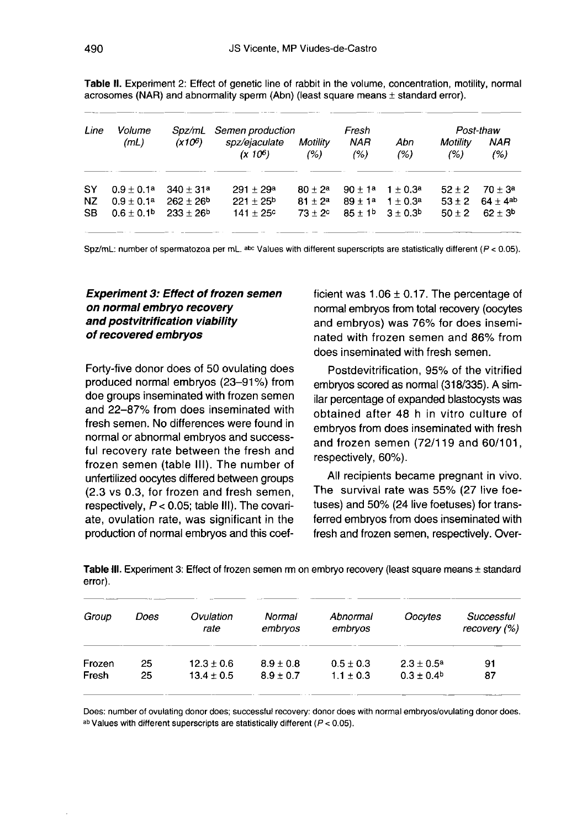| Line      | Volume                     |             | Spz/mL Semen production     |                  | Fresh              |                      | Post-thaw        |                    |
|-----------|----------------------------|-------------|-----------------------------|------------------|--------------------|----------------------|------------------|--------------------|
|           | (mL)                       | $(X10^6)$   | spz/ejaculate<br>$(x 10^6)$ | Motility<br>(% ) | <b>NAR</b><br>(% ) | Abn<br>(%)           | Motility<br>(% ) | NAR<br>(%)         |
| SY        | $0.9 + 0.1a$               | $340 + 31a$ | $291 \pm 29^a$              | $80 + 2a$        | $90 + 1a$          | $1 + 0.3a$           | $52 + 2$         | $70 + 3a$          |
| NZ        | $0.9 + 0.1a$               | $262 + 26b$ | $221 + 25b$                 | $81 + 2^a$       | $89 + 14$          | $1 + 0.3a$           | $53 + 2$         | $64 + 4^{ab}$      |
| <b>SB</b> | $0.6 \pm 0.1$ <sup>b</sup> | $233 + 26b$ | $141 \pm 25^{\circ}$        | $73 + 2c$        |                    | $85 + 1b$ $3 + 0.3b$ | $50 + 2$         | $62 \pm 3^{\circ}$ |

Table II. Experiment 2: Effect of genetic line of rabbit in the volume, concentration, motility, normal acrosomes (NAR) and abnormality sperm (Abn) (least square means  $\pm$  standard error).

Spz/mL: number of spermatozoa per mL. abc Values with different superscripts are statistically different ( $P < 0.05$ ).

# Experiment 3: Effect of frozen semen on normal embryo recovery and postvitrification viability of recovered embryos

Forty-five donor does of 50 ovulating does produced normal embryos (23-91 %) from doe groups inseminated with frozen semen and 22-87% from does inseminated with fresh semen. No differences were found in normal or abnormal embryos and successful recovery rate between the fresh and frozen semen (table 111). The number of unfertilized oocytes differed between groups (2.3 vs 0.3, for frozen and fresh semen, respectively,  $P < 0.05$ ; table III). The covariate, ovulation rate, was significant in the production of normal embryos and this coefficient was  $1.06 \pm 0.17$ . The percentage of normal embryos from total recovery (oocytes and embryos) was 76% for does inseminated with frozen semen and 86% from does inseminated with fresh semen.

Postdevitrification, 95% of the vitrified embryos scored as normal (318/335). A similar percentage of expanded blastocysts was obtained after 48 h in vitro culture of embryos from does inseminated with fresh and frozen semen (72/119 and 60/101, respectively, 60%).

All recipients became pregnant in vivo. The survival rate was 55% (27 live foetuses) and 50% (24 live foetuses) for transferred embryos from does inseminated with fresh and frozen semen, respectively. Over-

Table III. Experiment 3: Effect of frozen semen rm on embryo recovery (least square means ± standard error).

| Group  | Does | Ovulation<br>rate | Normal<br>embryos | Abnormal<br>embryos | Oocytes               | Successful<br>recovery $(%)$ |
|--------|------|-------------------|-------------------|---------------------|-----------------------|------------------------------|
| Frozen | 25   | $12.3 \pm 0.6$    | $8.9 \pm 0.8$     | $0.5 \pm 0.3$       | $2.3 \pm 0.5^{\circ}$ | 91                           |
| Fresh  | 25   | $13.4 \pm 0.5$    | $8.9 \pm 0.7$     | $1.1 + 0.3$         | $0.3 \pm 0.4^{\circ}$ | 87                           |

Does: number of ovulating donor does; successful recovery: donor does with normal embryos/ovulating donor does. ab Values with different superscripts are statistically different ( $P < 0.05$ ).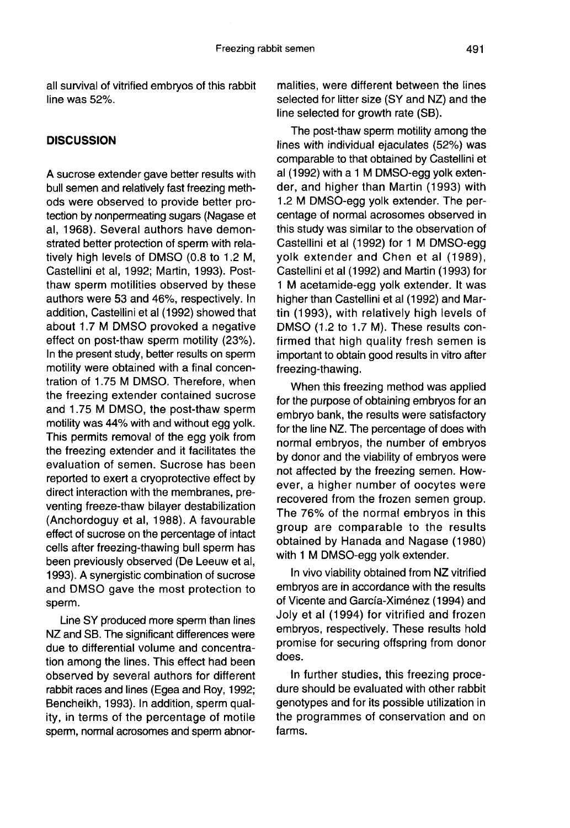all survival of vitrified embryos of this rabbit line was 52%.

# **DISCUSSION**

A sucrose extender gave better results with bull semen and relatively fast freezing methods were observed to provide better protection by nonpermeating sugars (Nagase et al, 1968). Several authors have demonstrated better protection of sperm with relatively high levels of DMSO (0.8 to 1.2 M, Castellini et al, 1992; Martin, 1993). Postthaw sperm motilities observed by these authors were 53 and 46%, respectively. In addition, Castellini et al (1992) showed that about 1.7 M DMSO provoked a negative effect on post-thaw sperm motility (23%). In the present study, better results on sperm motility were obtained with a final concentration of 1.75 M DMSO. Therefore, when the freezing extender contained sucrose and 1.75 M DMSO, the post-thaw sperm motility was 44% with and without egg yolk. This permits removal of the egg yolk from the freezing extender and it facilitates the evaluation of semen. Sucrose has been reported to exert a cryoprotective effect by direct interaction with the membranes, preventing freeze-thaw bilayer destabilization (Anchordoguy et al, 1988). A favourable effect of sucrose on the percentage of intact cells after freezing-thawing bull sperm has been previously observed (De Leeuw et al, 1993). A synergistic combination of sucrose and DMSO gave the most protection to sperm.

Line SY produced more sperm than lines NZ and SB. The significant differences were due to differential volume and concentration among the lines. This effect had been observed by several authors for different rabbit races and lines (Egea and Roy, 1992; Bencheikh, 1993). In addition, sperm quality, in terms of the percentage of motile sperm, normal acrosomes and sperm abnor-

malities, were different between the lines selected for litter size (SY and NZ) and the line selected for growth rate (SB).

The post-thaw sperm motility among the lines with individual ejaculates (52%) was comparable to that obtained by Castellini et al (1992) with a 1 M DMSO-egg yolk extender, and higher than Martin (1993) with 1.2 M DMSO-egg yolk extender. The percentage of normal acrosomes observed in this study was similar to the observation of Castellini et al (1992) for 1 M DMSO-egg yolk extender and Chen et al (1989), Castellini et al (1992) and Martin (1993) for 1 M acetamide-egg yolk extender. It was higher than Castellini et al (1992) and Martin (1993), with relatively high levels of DMSO (1.2 to 1.7 M). These results confirmed that high quality fresh semen is important to obtain good results in vitro after freezing-thawing.

When this freezing method was applied for the purpose of obtaining embryos for an embryo bank, the results were satisfactory for the line NZ. The percentage of does with normal embryos, the number of embryos by donor and the viability of embryos were not affected by the freezing semen. However, a higher number of oocytes were recovered from the frozen semen group. The 76% of the normal embryos in this group are comparable to the results obtained by Hanada and Nagase (1980) with 1 M DMSO-egg yolk extender.

In vivo viability obtained from NZ vitrified embryos are in accordance with the results of Vicente and García-Ximénez (1994) and Joly et al (1994) for vitrified and frozen embryos, respectively. These results hold promise for securing offspring from donor does.

In further studies, this freezing procedure should be evaluated with other rabbit genotypes and for its possible utilization in the programmes of conservation and on farms.